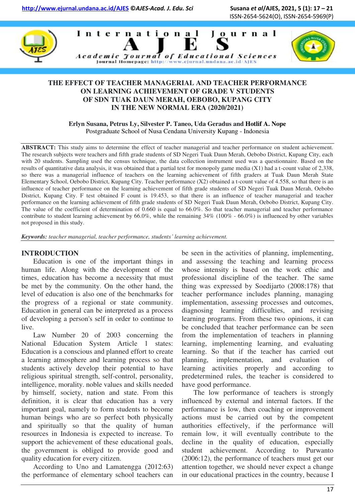ISSN-2654-5624(O), ISSN-2654-5969(P)







# **THE EFFECT OF TEACHER MANAGERIAL AND TEACHER PERFORMANCE ON LEARNING ACHIEVEMENT OF GRADE V STUDENTS OF SDN TUAK DAUN MERAH, OEBOBO, KUPANG CITY IN THE NEW NORMAL ERA (2020/2021)**

**Erlyn Susana, Petrus Ly, Silvester P. Taneo, Uda Geradus and Hotlif A. Nope**  Postgraduate School of Nusa Cendana University Kupang - Indonesia

**ABSTRACT:** This study aims to determine the effect of teacher managerial and teacher performance on student achievement. The research subjects were teachers and fifth grade students of SD Negeri Tuak Daun Merah, Oebobo District, Kupang City, each with 20 students. Sampling used the census technique, the data collection instrument used was a questionnaire. Based on the results of quantitative data analysis, it was obtained that a partial test for monopoly game media (X1) had a t-count value of 2,338, so there was a managerial influence of teachers on the learning achievement of fifth graders at Tuak Daun Merah State Elementary School, Oebobo District, Kupang City. Teacher performance (X2) obtained a t-count value of 4.558, so that there is an influence of teacher performance on the learning achievement of fifth grade students of SD Negeri Tuak Daun Merah, Oebobo District, Kupang City. F test obtained F count is 19.453, so that there is an influence of teacher managerial and teacher performance on the learning achievement of fifth grade students of SD Negeri Tuak Daun Merah, Oebobo District, Kupang City. The value of the coefficient of determination of 0.660 is equal to 66.0%. So that teacher managerial and teacher performance contribute to student learning achievement by  $66.0\%$ , while the remaining  $34\%$  (100% -  $66.0\%$ ) is influenced by other variables not proposed in this study.

*Keywords: teacher managerial, teacher performance, students' learning achievement.* 

#### **INTRODUCTION**

Education is one of the important things in human life. Along with the development of the times, education has become a necessity that must be met by the community. On the other hand, the level of education is also one of the benchmarks for the progress of a regional or state community. Education in general can be interpreted as a process of developing a person's self in order to continue to live.

Law Number 20 of 2003 concerning the National Education System Article 1 states: Education is a conscious and planned effort to create a learning atmosphere and learning process so that students actively develop their potential to have religious spiritual strength, self-control, personality, intelligence, morality. noble values and skills needed by himself, society, nation and state. From this definition, it is clear that education has a very important goal, namely to form students to become human beings who are so perfect both physically and spiritually so that the quality of human resources in Indonesia is expected to increase. To support the achievement of these educational goals, the government is obliged to provide good and quality education for every citizen.

According to Uno and Lamatengga (2012:63) the performance of elementary school teachers can be seen in the activities of planning, implementing, and assessing the teaching and learning process whose intensity is based on the work ethic and professional discipline of the teacher. The same thing was expressed by Soedijarto (2008:178) that teacher performance includes planning, managing implementation, assessing processes and outcomes, diagnosing learning difficulties, and revising learning programs. From these two opinions, it can be concluded that teacher performance can be seen from the implementation of teachers in planning learning, implementing learning, and evaluating learning. So that if the teacher has carried out planning, implementation, and evaluation of learning activities properly and according to predetermined rules, the teacher is considered to have good performance.

The low performance of teachers is strongly influenced by external and internal factors. If the performance is low, then coaching or improvement actions must be carried out by the competent authorities effectively, if the performance will remain low, it will eventually contribute to the decline in the quality of education, especially student achievement. According to Purwanto (2006:12), the performance of teachers must get our attention together, we should never expect a change in our educational practices in the country, because I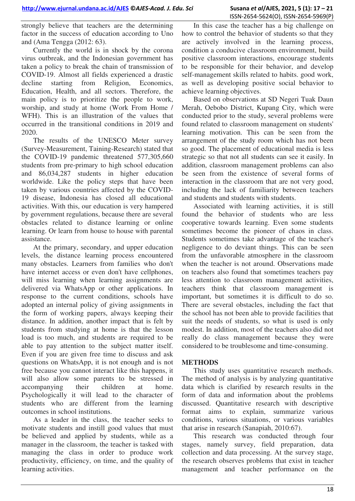strongly believe that teachers are the determining factor in the success of education according to Uno and (Ama Tengga (2012: 63).

Currently the world is in shock by the corona virus outbreak, and the Indonesian government has taken a policy to break the chain of transmission of COVID-19. Almost all fields experienced a drastic decline starting from Religion, Economics, Education, Health, and all sectors. Therefore, the main policy is to prioritize the people to work, worship, and study at home (Work From Home / WFH). This is an illustration of the values that occurred in the transitional conditions in 2019 and 2020.

The results of the UNESCO Meter survey (Survey-Measurement, Taining-Research) stated that the COVID-19 pandemic threatened 577,305,660 students from pre-primary to high school education and 86,034,287 students in higher education worldwide. Like the policy steps that have been taken by various countries affected by the COVID-19 disease, Indonesia has closed all educational activities. With this, our education is very hampered by government regulations, because there are several obstacles related to distance learning or online learning. Or learn from house to house with parental assistance.

At the primary, secondary, and upper education levels, the distance learning process encountered many obstacles. Learners from families who don't have internet access or even don't have cellphones, will miss learning when learning assignments are delivered via WhatsApp or other applications. In response to the current conditions, schools have adopted an internal policy of giving assignments in the form of working papers, always keeping their distance. In addition, another impact that is felt by students from studying at home is that the lesson load is too much, and students are required to be able to pay attention to the subject matter itself. Even if you are given free time to discuss and ask questions on WhatsApp, it is not enough and is not free because you cannot interact like this happens, it will also allow some parents to be stressed in accompanying their children at home. Psychologically it will lead to the character of students who are different from the learning outcomes in school institutions.

As a leader in the class, the teacher seeks to motivate students and instill good values that must be believed and applied by students, while as a manager in the classroom, the teacher is tasked with managing the class in order to produce work productivity, efficiency, on time, and the quality of learning activities.

In this case the teacher has a big challenge on how to control the behavior of students so that they are actively involved in the learning process, condition a conducive classroom environment, build positive classroom interactions, encourage students to be responsible for their behavior, and develop self-management skills related to habits. good work, as well as developing positive social behavior to achieve learning objectives.

Based on observations at SD Negeri Tuak Daun Merah, Oebobo District, Kupang City, which were conducted prior to the study, several problems were found related to classroom management on students' learning motivation. This can be seen from the arrangement of the study room which has not been so good. The placement of educational media is less strategic so that not all students can see it easily. In addition, classroom management problems can also be seen from the existence of several forms of interaction in the classroom that are not very good, including the lack of familiarity between teachers and students and students with students.

Associated with learning activities, it is still found the behavior of students who are less cooperative towards learning. Even some students sometimes become the pioneer of chaos in class. Students sometimes take advantage of the teacher's negligence to do deviant things. This can be seen from the unfavorable atmosphere in the classroom when the teacher is not around. Observations made on teachers also found that sometimes teachers pay less attention to classroom management activities, teachers think that classroom management is important, but sometimes it is difficult to do so. There are several obstacles, including the fact that the school has not been able to provide facilities that suit the needs of students, so what is used is only modest. In addition, most of the teachers also did not really do class management because they were considered to be troublesome and time-consuming.

#### **METHODS**

This study uses quantitative research methods. The method of analysis is by analyzing quantitative data which is clarified by research results in the form of data and information about the problems discussed. Quantitative research with descriptive format aims to explain, summarize various conditions, various situations, or various variables that arise in research (Sanapiah, 2010:67).

This research was conducted through four stages, namely survey, field preparation, data collection and data processing. At the survey stage, the research observes problems that exist in teacher management and teacher performance on the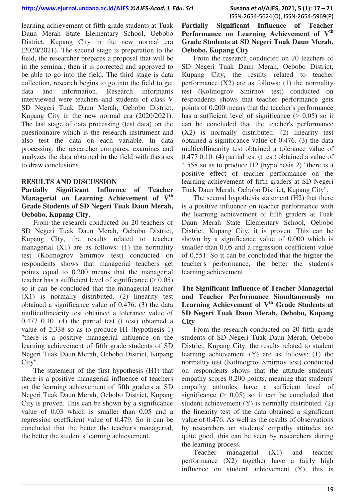learning achievement of fifth grade students at Tuak Daun Merah State Elementary School, Oebobo District, Kupang City in the new normal era (2020/2021). The second stage is preparation to the field, the researcher prepares a proposal that will be in the seminar, then it is corrected and approved to be able to go into the field. The third stage is data collection, research begins to go into the field to get data and information. Research informants interviewed were teachers and students of class V SD Negeri Tuak Daun Merah, Oebobo District, Kupang City in the new normal era (2020/2021). The last stage of data processing (test data) on the questionnaire which is the research instrument and also test the data on each variable. In data processing, the researcher compares, examines and analyzes the data obtained in the field with theories to draw conclusions.

#### **RESULTS AND DISCUSSION**

**Partially Significant Influence of Teacher Managerial on Learning Achievement of Vth Grade Students of SD Negeri Tuak Daun Merah, Oebobo, Kupang City.** 

From the research conducted on 20 teachers of SD Negeri Tuak Daun Merah, Oebobo District, Kupang City, the results related to teacher managerial  $(X1)$  are as follows: (1) the normality test (Kolmogrov Smirnov test) conducted on respondents shows that managerial teachers get points equal to 0.200 means that the managerial teacher has a sufficient level of significance  $($  > 0.05) so it can be concluded that the managerial teacher (X1) is normally distributed. (2) linearity test obtained a significance value of 0.476. (3) the data multicollinearity test obtained a tolerance value of 0.477 0.10. (4) the partial test (t test) obtained a value of 2,338 so as to produce H1 (hypothesis 1) "there is a positive managerial influence on the learning achievement of fifth grade students of SD Negeri Tuak Daun Merah, Oebobo District, Kupang City".

The statement of the first hypothesis (H1) that there is a positive managerial influence of teachers on the learning achievement of fifth graders at SD Negeri Tuak Daun Merah, Oebobo District, Kupang City is proven. This can be shown by a significance value of 0.03 which is smaller than 0.05 and a regression coefficient value of 0.479. So it can be concluded that the better the teacher's managerial, the better the student's learning achievement.

## **Partially Significant Influence of Teacher Performance on Learning Achievement of V th Grade Students at SD Negeri Tuak Daun Merah, Oebobo, Kupang City**

From the research conducted on 20 teachers of SD Negeri Tuak Daun Merah, Oebobo District, Kupang City, the results related to teacher performance  $(X2)$  are as follows: (1) the normality test (Kolmogrov Smirnov test) conducted on respondents shows that teacher performance gets points of 0.200 means that the teacher's performance has a sufficient level of significance  $(> 0.05)$  so it can be concluded that the teacher's performance (X2) is normally distributed. (2) linearity test obtained a significance value of 0.476. (3) the data multicollinearity test obtained a tolerance value of 0.477 0.10. (4) partial test (t test) obtained a value of 4.558 so as to produce H2 (hypothesis 2) "there is a positive effect of teacher performance on the learning achievement of fifth graders at SD Negeri Tuak Daun Merah, Oebobo District, Kupang City".

The second hypothesis statement (H2) that there is a positive influence on teacher performance with the learning achievement of fifth graders at Tuak Daun Merah State Elementary School, Oebobo District, Kupang City, it is proven. This can be shown by a significance value of 0.000 which is smaller than 0.05 and a regression coefficient value of 0.551. So it can be concluded that the higher the teacher's performance, the better the student's learning achievement.

## **The Significant Influence of Teacher Managerial and Teacher Performance Simultaneously on Learning Achievement of V th Grade Students at SD Negeri Tuak Daun Merah, Oebobo, Kupang City**

From the research conducted on 20 fifth grade students of SD Negeri Tuak Daun Merah, Oebobo District, Kupang City, the results related to student learning achievement (Y) are as follows: (1) the normality test (Kolmogrov Smirnov test) conducted on respondents shows that the attitude students' empathy scores 0.200 points, meaning that students' empathy attitudes have a sufficient level of significance  $(> 0.05)$  so it can be concluded that student achievement (Y) is normally distributed. (2) the linearity test of the data obtained a significant value of 0.476. As well as the results of observations by researchers on students' empathy attitudes are quite good, this can be seen by researchers during the learning process.

Teacher managerial (X1) and teacher performance (X2) together have a fairly high influence on student achievement (Y), this is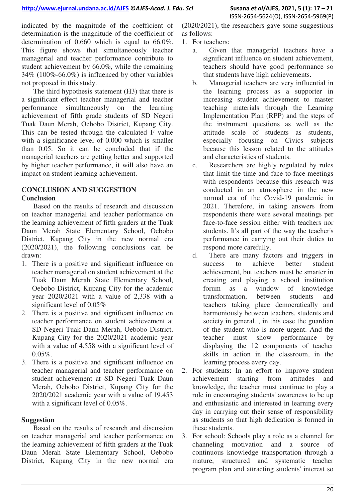indicated by the magnitude of the coefficient of determination is the magnitude of the coefficient of determination of 0.660 which is equal to 66.0%. This figure shows that simultaneously teacher managerial and teacher performance contribute to student achievement by 66.0%, while the remaining 34% (100%-66.0%) is influenced by other variables not proposed in this study.

The third hypothesis statement (H3) that there is a significant effect teacher managerial and teacher performance simultaneously on the learning achievement of fifth grade students of SD Negeri Tuak Daun Merah, Oebobo District, Kupang City. This can be tested through the calculated F value with a significance level of 0.000 which is smaller than 0.05. So it can be concluded that if the managerial teachers are getting better and supported by higher teacher performance, it will also have an impact on student learning achievement.

## **CONCLUSION AND SUGGESTION Conclusion**

Based on the results of research and discussion on teacher managerial and teacher performance on the learning achievement of fifth graders at the Tuak Daun Merah State Elementary School, Oebobo District, Kupang City in the new normal era (2020/2021), the following conclusions can be drawn:

- 1. There is a positive and significant influence on teacher managerial on student achievement at the Tuak Daun Merah State Elementary School, Oebobo District, Kupang City for the academic year 2020/2021 with a value of 2,338 with a significant level of 0.05%
- 2. There is a positive and significant influence on teacher performance on student achievement at SD Negeri Tuak Daun Merah, Oebobo District, Kupang City for the 2020/2021 academic year with a value of 4.558 with a significant level of  $0.05\%$ .
- 3. There is a positive and significant influence on teacher managerial and teacher performance on student achievement at SD Negeri Tuak Daun Merah, Oebobo District, Kupang City for the 2020/2021 academic year with a value of 19.453 with a significant level of 0.05%.

# **Suggestion**

Based on the results of research and discussion on teacher managerial and teacher performance on the learning achievement of fifth graders at the Tuak Daun Merah State Elementary School, Oebobo District, Kupang City in the new normal era (2020/2021), the researchers gave some suggestions as follows:

- 1. For teachers:
	- a. Given that managerial teachers have a significant influence on student achievement, teachers should have good performance so that students have high achievements.
	- b. Managerial teachers are very influential in the learning process as a supporter in increasing student achievement to master teaching materials through the Learning Implementation Plan (RPP) and the steps of the instrument questions as well as the attitude scale of students as students, especially focusing on Civics subjects because this lesson related to the attitudes and characteristics of students.
	- c. Researchers are highly regulated by rules that limit the time and face-to-face meetings with respondents because this research was conducted in an atmosphere in the new normal era of the Covid-19 pandemic in 2021. Therefore, in taking answers from respondents there were several meetings per face-to-face session either with teachers nor students. It's all part of the way the teacher's performance in carrying out their duties to respond more carefully.
	- d. There are many factors and triggers in success to achieve better student achievement, but teachers must be smarter in creating and playing a school institution forum as a window of knowledge transformation, between students and teachers taking place democratically and harmoniously between teachers, students and society in general. , in this case the guardian of the student who is more urgent. And the teacher must show performance by displaying the 12 components of teacher skills in action in the classroom, in the learning process every day.
- 2. For students: In an effort to improve student achievement starting from attitudes and knowledge, the teacher must continue to play a role in encouraging students' awareness to be up and enthusiastic and interested in learning every day in carrying out their sense of responsibility as students so that high dedication is formed in these students.
- 3. For school: Schools play a role as a channel for channeling motivation and a source of continuous knowledge transportation through a mature, structured and systematic teacher program plan and attracting students' interest so